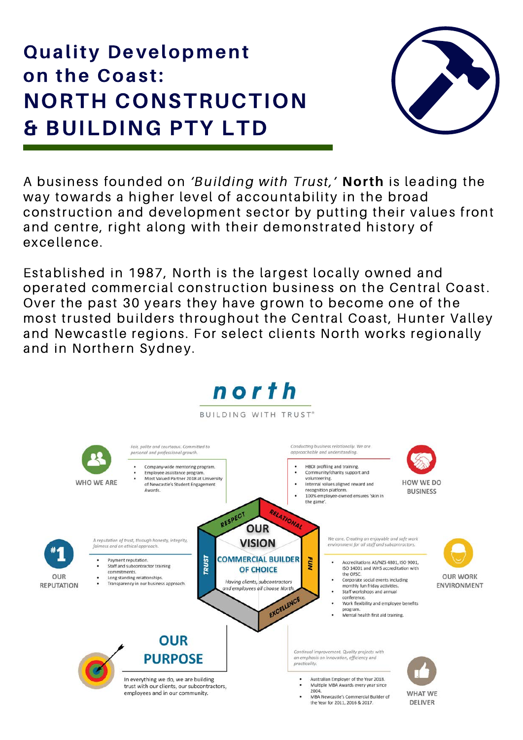# **Quality Development** on the Coast: **NORTH CONSTRUCTION & BUILDING PTY LTD**



A business founded on 'Building with Trust,' North is leading the way towards a higher level of accountability in the broad construction and development sector by putting their values front and centre, right along with their demonstrated history of excellence.

Established in 1987, North is the largest locally owned and operated commercial construction business on the Central Coast. Over the past 30 years they have grown to become one of the most trusted builders throughout the Central Coast, Hunter Valley and Newcastle regions. For select clients North works regionally and in Northern Sydney.

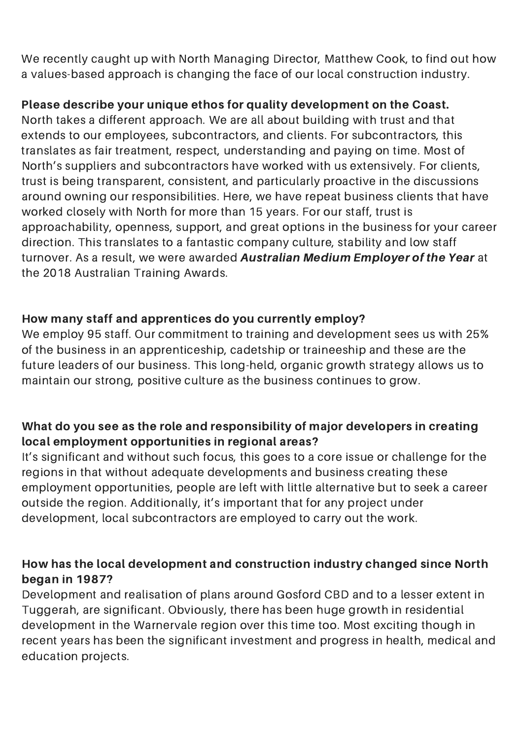We recently caught up with North Managing Director, Matthew Cook, to find out how a values-based approach is changing the face of our local construction industry.

# Please describe your unique ethos for quality development on the Coast.

North takes a different approach. We are all about building with trust and that extends to our employees, subcontractors, and clients. For subcontractors, this translates as fair treatment, respect, understanding and paying on time. Most of North's suppliers and subcontractors have worked with us extensively. For clients, trust is being transparent, consistent, and particularly proactive in the discussions around owning our responsibilities. Here, we have repeat business clients that have worked closely with North for more than 15 years. For our staff, trust is [approachability,](http://www.bonythonproperty.com.au/projects/ravello) openness, support, and great options in the business for your career direction. This translates to a fantastic company culture, stability and low staff turnover. As a result, we were awarded Australian Medium Employer of the Year at the 2018 Australian Training Awards.

#### How many staff and apprentices do you currently employ?

We employ 95 staff. Our commitment to training and development sees us with 25% of the business in an apprenticeship, cadetship or traineeship and these are the future leaders of our business. This long-held, organic growth strategy allows us to maintain our strong, positive culture as the business continues to grow.

# What do you see as the role and responsibility of major developers in creating local employment opportunities in regional areas?

It's significant and without such focus, this goes to a core issue or challenge for the regions in that without adequate developments and business creating these employment opportunities, people are left with little alternative but to seek a career outside the region. Additionally, it's important that for any project under development, local subcontractors are employed to carry out the work.

#### How has the local development and construction industry changed since North began in 1987?

Development and realisation of plans around Gosford CBD and to a lesser extent in Tuggerah, are significant. Obviously, there has been huge growth in residential development in the Warnervale region over this time too. Most exciting though in recent years has been the significant investment and progress in health, medical and education projects.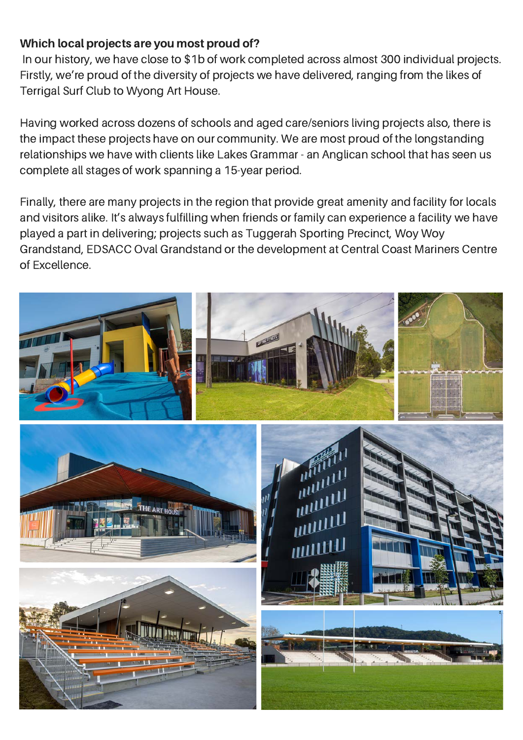#### Which local projects are you most proud of?

In our history, we have close to \$1b of work completed across almost 300 individual projects. Firstly, we're proud of the diversity of projects we have delivered, ranging from the likes of Terrigal Surf Club to Wyong Art House.

Having worked across dozens of schools and aged care/seniors living projects also, there is the impact these projects have on our community. We are most proud of the longstanding relationships we have with clients like Lakes Grammar - an Anglican school that has seen us complete all stages of work spanning a 15-year period.

Finally, there are many projects in the region that provide great amenity and facility for locals and visitors alike. It's always fulfilling when friends or family can experience a facility we have played a part in delivering; projects such as Tuggerah Sporting Precinct, Woy Woy Grandstand, EDSACC Oval Grandstand or the development at Central Coast Mariners Centre of Excellence.